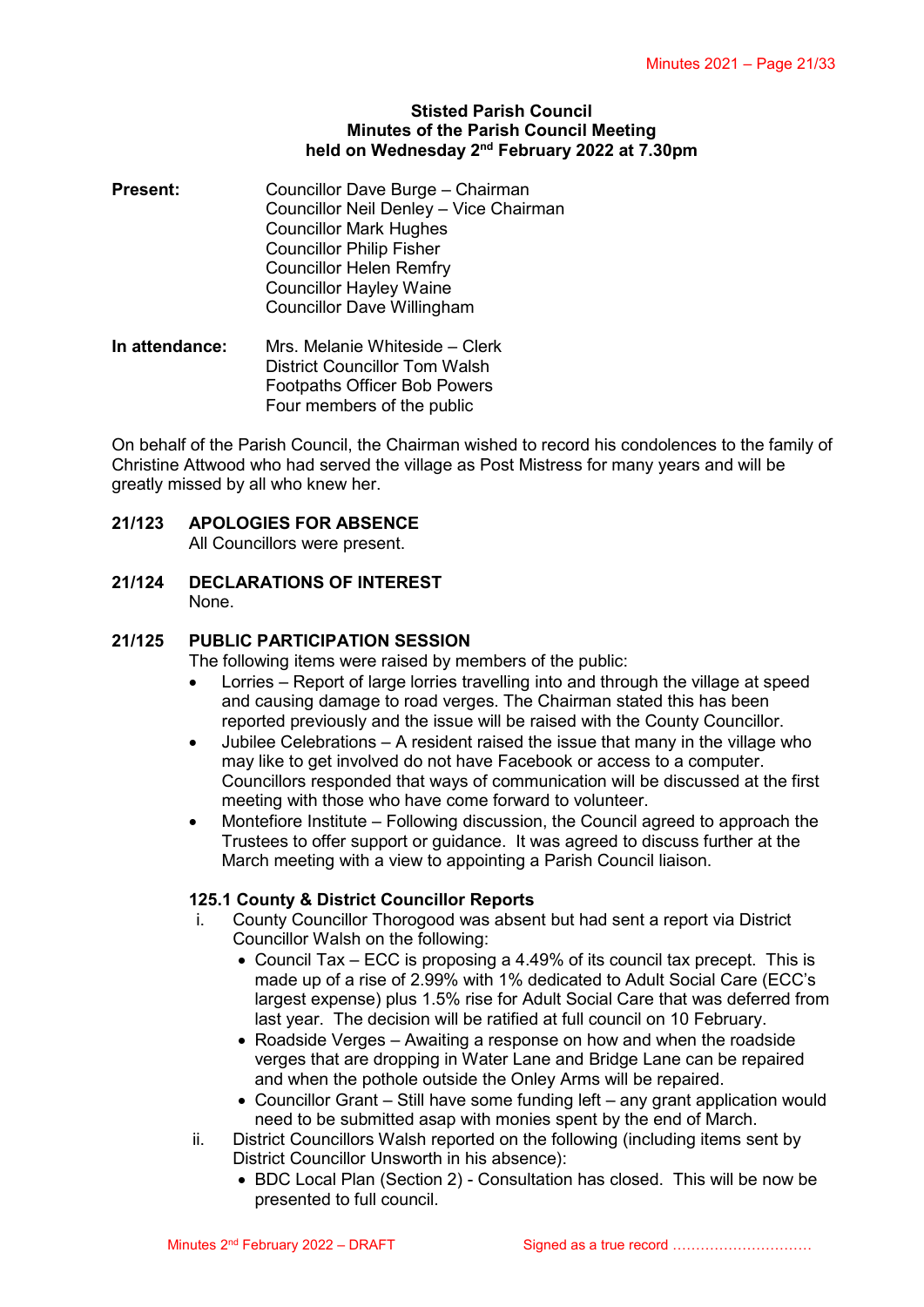### **Stisted Parish Council Minutes of the Parish Council Meeting** held on Wednesday 2<sup>nd</sup> February 2022 at 7.30pm

**Present:** Councillor Dave Burge – Chairman Councillor Neil Denley – Vice Chairman Councillor Mark Hughes Councillor Philip Fisher Councillor Helen Remfry Councillor Hayley Waine Councillor Dave Willingham

**In attendance:** Mrs. Melanie Whiteside – Clerk District Councillor Tom Walsh Footpaths Officer Bob Powers Four members of the public

On behalf of the Parish Council, the Chairman wished to record his condolences to the family of Christine Attwood who had served the village as Post Mistress for many years and will be greatly missed by all who knew her.

# **21/123 APOLOGIES FOR ABSENCE**

All Councillors were present.

**21/124 DECLARATIONS OF INTEREST** None.

# **21/125 PUBLIC PARTICIPATION SESSION**

The following items were raised by members of the public:

- Lorries Report of large lorries travelling into and through the village at speed and causing damage to road verges. The Chairman stated this has been reported previously and the issue will be raised with the County Councillor.
- Jubilee Celebrations A resident raised the issue that many in the village who may like to get involved do not have Facebook or access to a computer. Councillors responded that ways of communication will be discussed at the first meeting with those who have come forward to volunteer.
- Montefiore Institute Following discussion, the Council agreed to approach the Trustees to offer support or guidance. It was agreed to discuss further at the March meeting with a view to appointing a Parish Council liaison.

# **125.1 County & District Councillor Reports**

- i. County Councillor Thorogood was absent but had sent a report via District Councillor Walsh on the following:
	- Council Tax ECC is proposing a 4.49% of its council tax precept. This is made up of a rise of 2.99% with 1% dedicated to Adult Social Care (ECC's largest expense) plus 1.5% rise for Adult Social Care that was deferred from last year. The decision will be ratified at full council on 10 February.
	- Roadside Verges Awaiting a response on how and when the roadside verges that are dropping in Water Lane and Bridge Lane can be repaired and when the pothole outside the Onley Arms will be repaired.
	- Councillor Grant Still have some funding left any grant application would need to be submitted asap with monies spent by the end of March.
- ii. District Councillors Walsh reported on the following (including items sent by District Councillor Unsworth in his absence):
	- BDC Local Plan (Section 2) Consultation has closed. This will be now be presented to full council.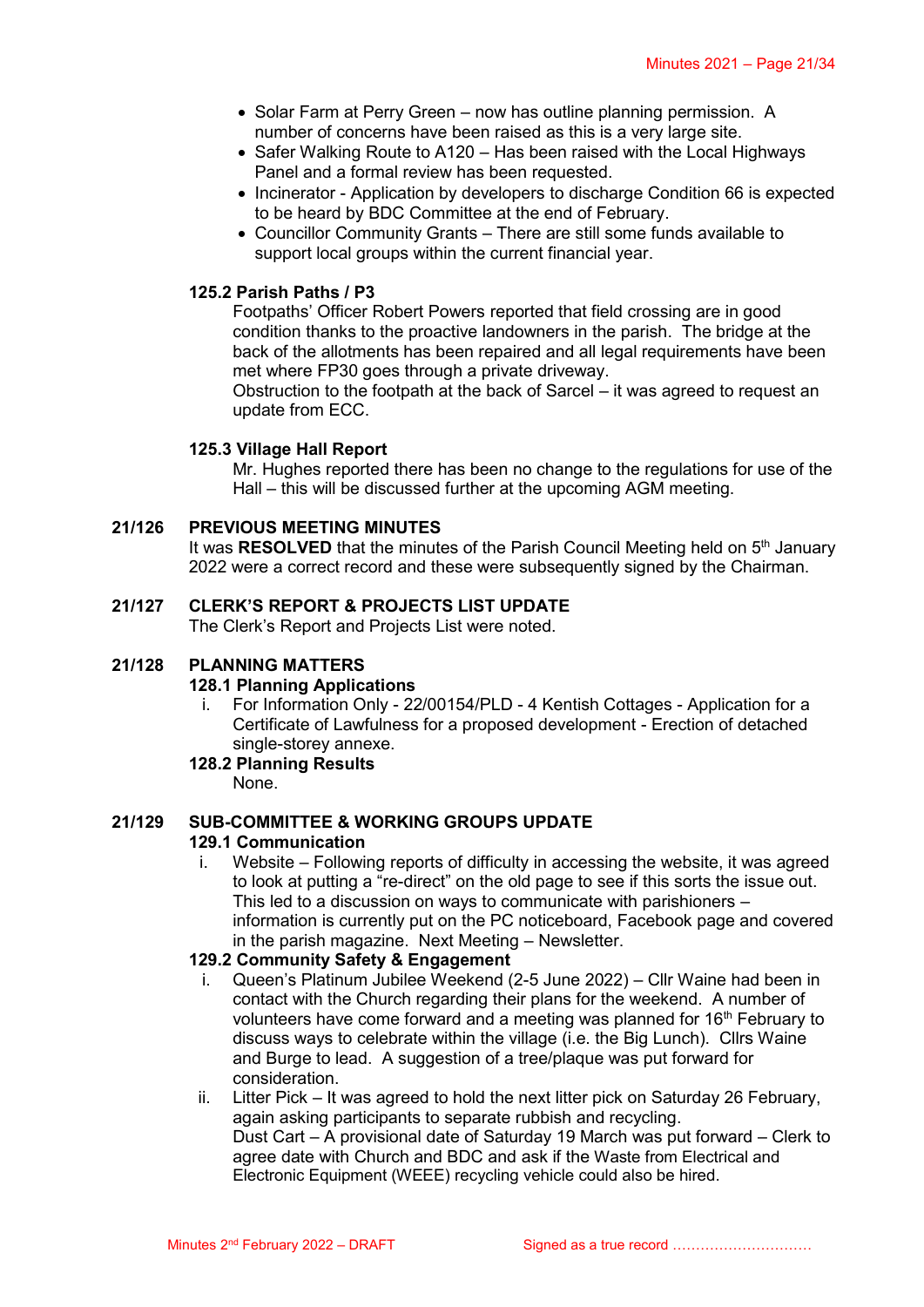- Solar Farm at Perry Green now has outline planning permission. A number of concerns have been raised as this is a very large site.
- Safer Walking Route to A120 Has been raised with the Local Highways Panel and a formal review has been requested.
- Incinerator Application by developers to discharge Condition 66 is expected to be heard by BDC Committee at the end of February.
- Councillor Community Grants There are still some funds available to support local groups within the current financial year.

# **125.2 Parish Paths / P3**

Footpaths' Officer Robert Powers reported that field crossing are in good condition thanks to the proactive landowners in the parish. The bridge at the back of the allotments has been repaired and all legal requirements have been met where FP30 goes through a private driveway.

Obstruction to the footpath at the back of Sarcel – it was agreed to request an update from ECC.

### **125.3 Village Hall Report**

Mr. Hughes reported there has been no change to the regulations for use of the Hall – this will be discussed further at the upcoming AGM meeting.

### **21/126 PREVIOUS MEETING MINUTES**

It was RESOLVED that the minutes of the Parish Council Meeting held on 5<sup>th</sup> January 2022 were a correct record and these were subsequently signed by the Chairman.

### **21/127 CLERK'S REPORT & PROJECTS LIST UPDATE**

The Clerk's Report and Projects List were noted.

### **21/128 PLANNING MATTERS**

### **128.1 Planning Applications**

i. For Information Only - 22/00154/PLD - 4 Kentish Cottages - Application for a Certificate of Lawfulness for a proposed development - Erection of detached single-storey annexe.

### **128.2 Planning Results**

None.

# **21/129 SUB-COMMITTEE & WORKING GROUPS UPDATE**

### **129.1 Communication**

i. Website – Following reports of difficulty in accessing the website, it was agreed to look at putting a "re-direct" on the old page to see if this sorts the issue out. This led to a discussion on ways to communicate with parishioners – information is currently put on the PC noticeboard, Facebook page and covered in the parish magazine. Next Meeting – Newsletter.

### **129.2 Community Safety & Engagement**

- i. Queen's Platinum Jubilee Weekend (2-5 June 2022) Cllr Waine had been in contact with the Church regarding their plans for the weekend. A number of volunteers have come forward and a meeting was planned for  $16<sup>th</sup>$  February to discuss ways to celebrate within the village (i.e. the Big Lunch). Cllrs Waine and Burge to lead. A suggestion of a tree/plaque was put forward for consideration.
- ii. Litter Pick It was agreed to hold the next litter pick on Saturday 26 February, again asking participants to separate rubbish and recycling. Dust Cart – A provisional date of Saturday 19 March was put forward – Clerk to agree date with Church and BDC and ask if the Waste from Electrical and Electronic Equipment (WEEE) recycling vehicle could also be hired.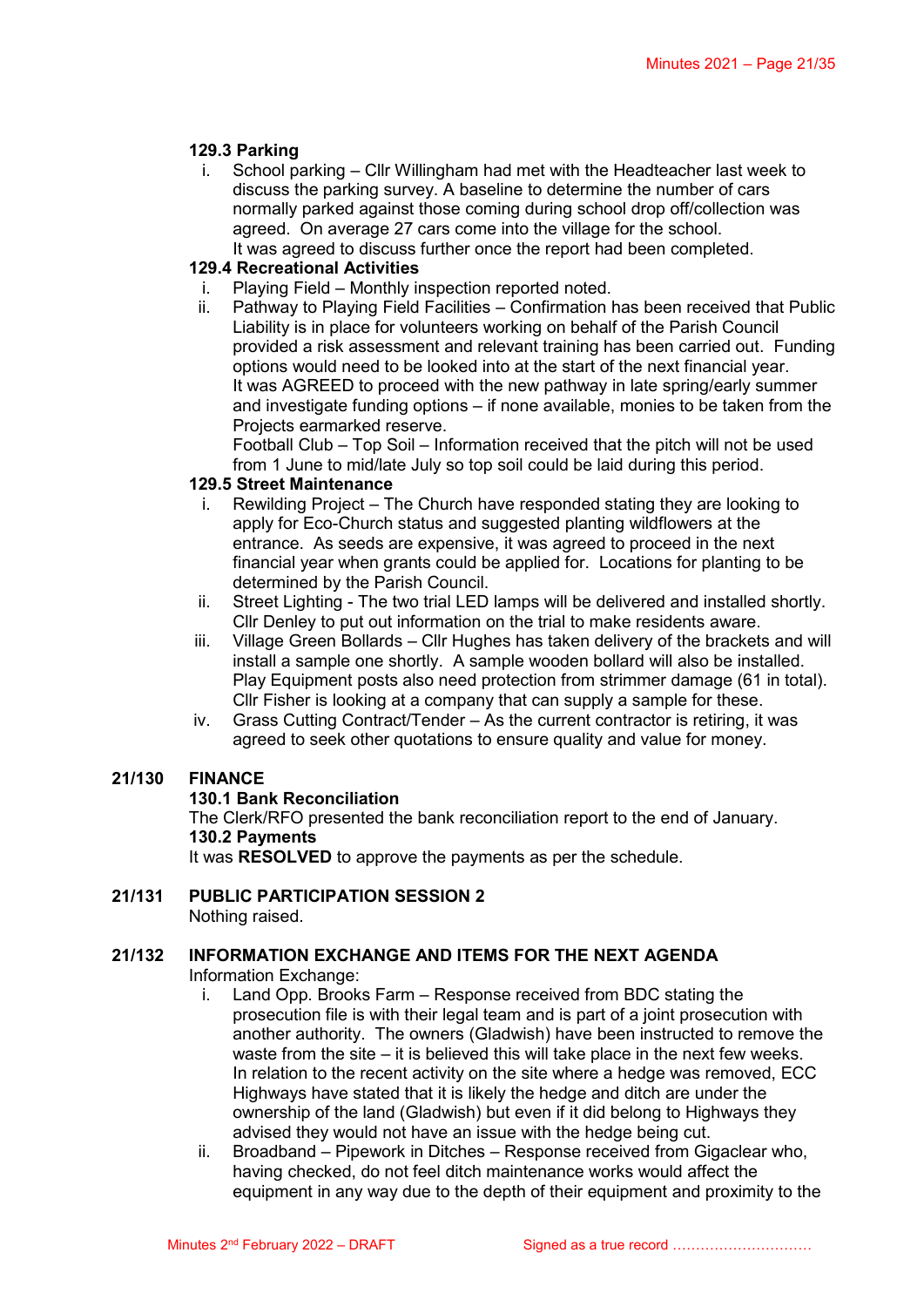### **129.3 Parking**

i. School parking – Cllr Willingham had met with the Headteacher last week to discuss the parking survey. A baseline to determine the number of cars normally parked against those coming during school drop off/collection was agreed. On average 27 cars come into the village for the school. It was agreed to discuss further once the report had been completed.

# **129.4 Recreational Activities**

- i. Playing Field Monthly inspection reported noted.
- ii. Pathway to Playing Field Facilities Confirmation has been received that Public Liability is in place for volunteers working on behalf of the Parish Council provided a risk assessment and relevant training has been carried out. Funding options would need to be looked into at the start of the next financial year. It was AGREED to proceed with the new pathway in late spring/early summer and investigate funding options – if none available, monies to be taken from the Projects earmarked reserve.

Football Club – Top Soil – Information received that the pitch will not be used from 1 June to mid/late July so top soil could be laid during this period.

### **129.5 Street Maintenance**

- i. Rewilding Project The Church have responded stating they are looking to apply for Eco-Church status and suggested planting wildflowers at the entrance. As seeds are expensive, it was agreed to proceed in the next financial year when grants could be applied for. Locations for planting to be determined by the Parish Council.
- ii. Street Lighting The two trial LED lamps will be delivered and installed shortly. Cllr Denley to put out information on the trial to make residents aware.
- iii. Village Green Bollards Cllr Hughes has taken delivery of the brackets and will install a sample one shortly. A sample wooden bollard will also be installed. Play Equipment posts also need protection from strimmer damage (61 in total). Cllr Fisher is looking at a company that can supply a sample for these.
- iv. Grass Cutting Contract/Tender As the current contractor is retiring, it was agreed to seek other quotations to ensure quality and value for money.

# **21/130 FINANCE**

### **130.1 Bank Reconciliation**

The Clerk/RFO presented the bank reconciliation report to the end of January. **130.2 Payments**

It was **RESOLVED** to approve the payments as per the schedule.

### **21/131 PUBLIC PARTICIPATION SESSION 2** Nothing raised.

# **21/132 INFORMATION EXCHANGE AND ITEMS FOR THE NEXT AGENDA**

Information Exchange:

- i. Land Opp. Brooks Farm Response received from BDC stating the prosecution file is with their legal team and is part of a joint prosecution with another authority. The owners (Gladwish) have been instructed to remove the waste from the site  $-$  it is believed this will take place in the next few weeks. In relation to the recent activity on the site where a hedge was removed, ECC Highways have stated that it is likely the hedge and ditch are under the ownership of the land (Gladwish) but even if it did belong to Highways they advised they would not have an issue with the hedge being cut.
- ii. Broadband Pipework in Ditches Response received from Gigaclear who, having checked, do not feel ditch maintenance works would affect the equipment in any way due to the depth of their equipment and proximity to the